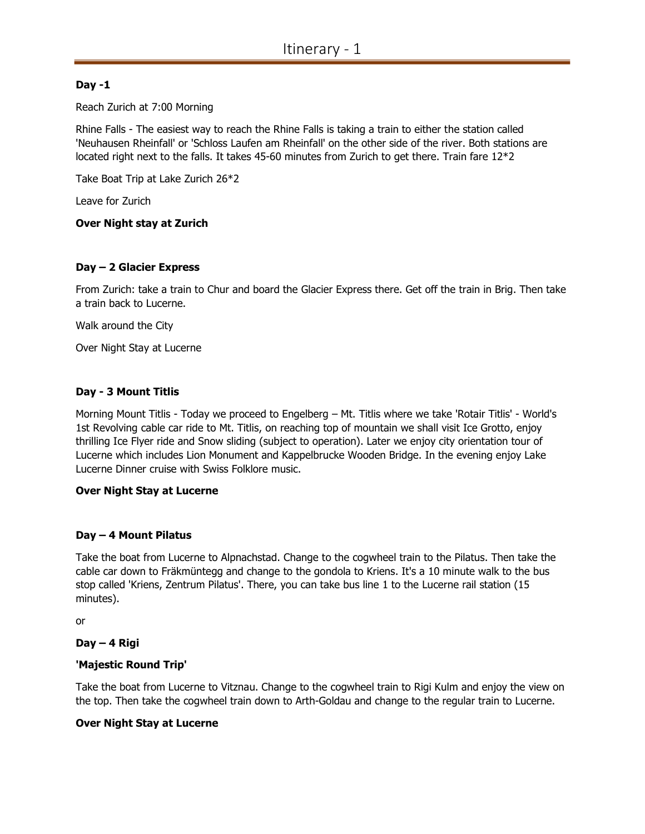# Day -1

Reach Zurich at 7:00 Morning

Rhine Falls - The easiest way to reach the Rhine Falls is taking a train to either the station called 'Neuhausen Rheinfall' or 'Schloss Laufen am Rheinfall' on the other side of the river. Both stations are located right next to the falls. It takes 45-60 minutes from Zurich to get there. Train fare 12\*2

Take Boat Trip at Lake Zurich 26\*2

Leave for Zurich

### Over Night stay at Zurich

#### Day – 2 Glacier Express

From Zurich: take a train to Chur and board the Glacier Express there. Get off the train in Brig. Then take a train back to Lucerne.

Walk around the City

Over Night Stay at Lucerne

### Day - 3 Mount Titlis

Morning Mount Titlis - Today we proceed to Engelberg – Mt. Titlis where we take 'Rotair Titlis' - World's 1st Revolving cable car ride to Mt. Titlis, on reaching top of mountain we shall visit Ice Grotto, enjoy thrilling Ice Flyer ride and Snow sliding (subject to operation). Later we enjoy city orientation tour of Lucerne which includes Lion Monument and Kappelbrucke Wooden Bridge. In the evening enjoy Lake Lucerne Dinner cruise with Swiss Folklore music.

#### Over Night Stay at Lucerne

### Day – 4 Mount Pilatus

Take the boat from Lucerne to Alpnachstad. Change to the cogwheel train to the Pilatus. Then take the cable car down to Fräkmüntegg and change to the gondola to Kriens. It's a 10 minute walk to the bus stop called 'Kriens, Zentrum Pilatus'. There, you can take bus line 1 to the Lucerne rail station (15 minutes).

or

### Day – 4 Rigi

### 'Majestic Round Trip'

Take the boat from Lucerne to Vitznau. Change to the cogwheel train to Rigi Kulm and enjoy the view on the top. Then take the cogwheel train down to Arth-Goldau and change to the regular train to Lucerne.

### Over Night Stay at Lucerne